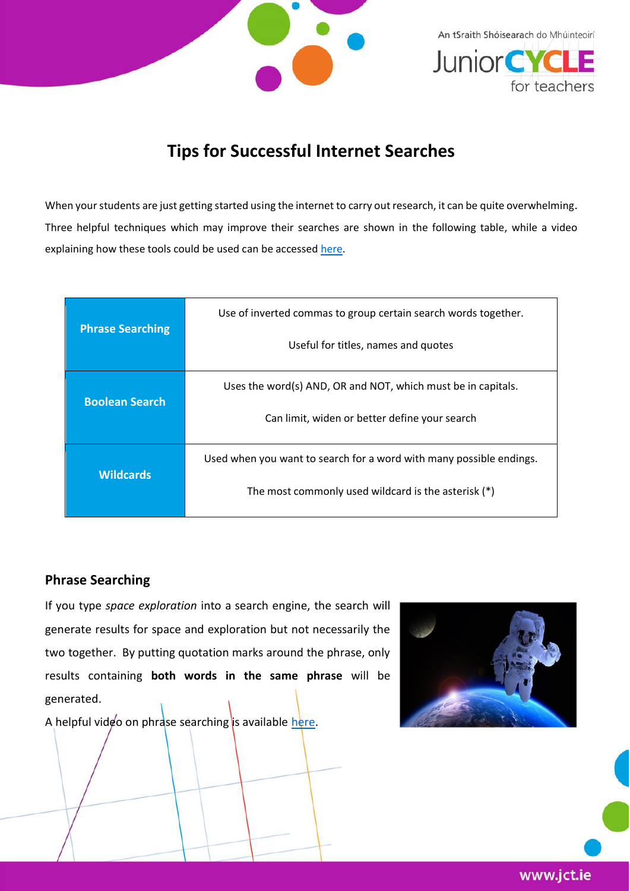

An tSraith Shóisearach do Mhúinteoirí **JuniorCYC** for teachers

## **Tips for Successful Internet Searches**

When your students are just getting started using the internet to carry out research, it can be quite overwhelming. Three helpful techniques which may improve their searches are shown in the following table, while a video explaining how these tools could be used can be accessed [here.](https://youtu.be/LTJygQwYV84)

| <b>Phrase Searching</b> | Use of inverted commas to group certain search words together.      |  |
|-------------------------|---------------------------------------------------------------------|--|
|                         | Useful for titles, names and quotes                                 |  |
| <b>Boolean Search</b>   | Uses the word(s) AND, OR and NOT, which must be in capitals.        |  |
|                         | Can limit, widen or better define your search                       |  |
| <b>Wildcards</b>        | Used when you want to search for a word with many possible endings. |  |
|                         | The most commonly used wildcard is the asterisk (*)                 |  |

## **Phrase Searching**

If you type *space exploration* into a search engine, the search will generate results for space and exploration but not necessarily the two together. By putting quotation marks around the phrase, only results containing **both words in the same phrase** will be generated.

A helpful video on phrase searching is available [here.](https://youtu.be/6_mQGzRyTg4)